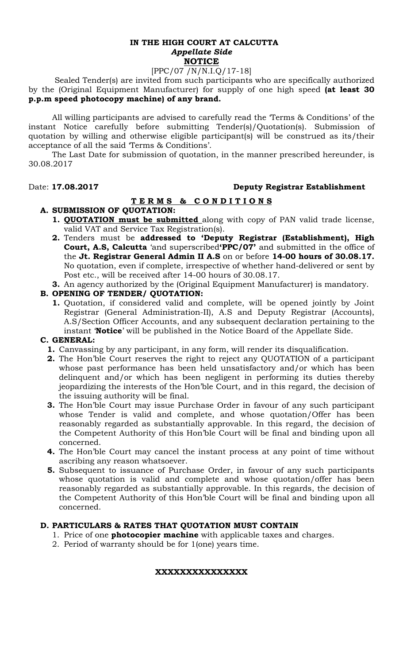#### **IN THE HIGH COURT AT CALCUTTA**  *Appellate Side* **NOTICE**

# [PPC/07 /N/N.I.Q/17-18]

 Sealed Tender(s) are invited from such participants who are specifically authorized by the (Original Equipment Manufacturer) for supply of one high speed **(at least 30 p.p.m speed photocopy machine) of any brand.** 

All willing participants are advised to carefully read the 'Terms & Conditions' of the instant Notice carefully before submitting Tender(s)/Quotation(s). Submission of quotation by willing and otherwise eligible participant(s) will be construed as its/their acceptance of all the said 'Terms & Conditions'.

The Last Date for submission of quotation, in the manner prescribed hereunder, is 30.08.2017

## Date: **17.08.2017 Deputy Registrar Establishment**

## **T E R M S & C O N D I T I O N S**

### **A. SUBMISSION OF QUOTATION:**

- **1. QUOTATION must be submitted** along with copy of PAN valid trade license, valid VAT and Service Tax Registration(s).
- **2.** Tenders must be **addressed to 'Deputy Registrar (Establishment), High Court, A.S, Calcutta** 'and superscribed**'PPC/07'** and submitted in the office of the **Jt. Registrar General Admin II A.S** on or before **14-00 hours of 30.08.17.**  No quotation, even if complete, irrespective of whether hand-delivered or sent by Post etc., will be received after 14-00 hours of 30.08.17.
- **3.** An agency authorized by the (Original Equipment Manufacturer) is mandatory.

### **B. OPENING OF TENDER/ QUOTATION:**

**1.** Quotation, if considered valid and complete, will be opened jointly by Joint Registrar (General Administration-II), A.S and Deputy Registrar (Accounts), A.S/Section Officer Accounts, and any subsequent declaration pertaining to the instant '**Notice**' will be published in the Notice Board of the Appellate Side.

## **C. GENERAL:**

- **1.** Canvassing by any participant, in any form, will render its disqualification.
- **2.** The Hon'ble Court reserves the right to reject any QUOTATION of a participant whose past performance has been held unsatisfactory and/or which has been delinquent and/or which has been negligent in performing its duties thereby jeopardizing the interests of the Hon'ble Court, and in this regard, the decision of the issuing authority will be final.
- **3.** The Hon'ble Court may issue Purchase Order in favour of any such participant whose Tender is valid and complete, and whose quotation/Offer has been reasonably regarded as substantially approvable. In this regard, the decision of the Competent Authority of this Hon'ble Court will be final and binding upon all concerned.
- **4.** The Hon'ble Court may cancel the instant process at any point of time without ascribing any reason whatsoever.
- **5.** Subsequent to issuance of Purchase Order, in favour of any such participants whose quotation is valid and complete and whose quotation/offer has been reasonably regarded as substantially approvable. In this regards, the decision of the Competent Authority of this Hon'ble Court will be final and binding upon all concerned.

#### **D. PARTICULARS & RATES THAT QUOTATION MUST CONTAIN**

- 1. Price of one **photocopier machine** with applicable taxes and charges.
- 2. Period of warranty should be for 1(one) years time.

#### **XXXXXXXXXXXXXXX**